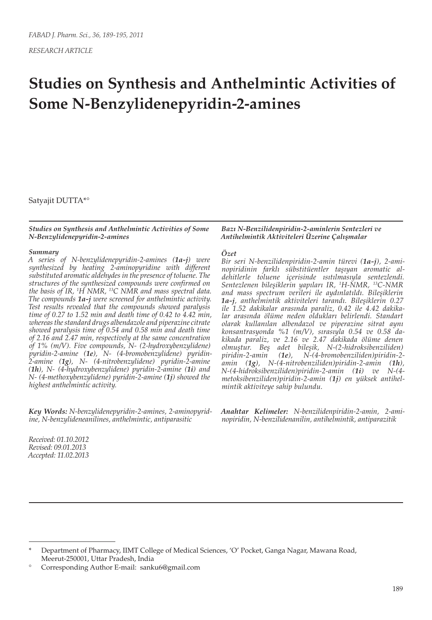*RESEARCH ARTICLE*

# **Studies on Synthesis and Anthelmintic Activities of Some N-Benzylidenepyridin-2-amines**

Satyajit DUTTA\*°

#### *Studies on Synthesis and Anthelmintic Activities of Some N-Benzylidenepyridin-2-amines*

#### *Summary*

*A series of N-benzylidenepyridin-2-amines (1a-j) were synthesized by heating 2-aminopyridine with different substituted aromatic aldehydes in the presence of toluene. The structures of the synthesized compounds were confirmed on the basis of IR, 1 H NMR, 13C NMR and mass spectral data. The compounds 1a-j were screened for anthelmintic activity. Test results revealed that the compounds showed paralysis time of 0.27 to 1.52 min and death time of 0.42 to 4.42 min, whereas the standard drugs albendazole and piperazine citrate showed paralysis time of 0.54 and 0.58 min and death time of 2.16 and 2.47 min, respectively at the same concentration of 1% (m/V). Five compounds, N- (2-hydroxybenzylidene) pyridin-2-amine (1e), N- (4-bromobenzylidene) pyridin-2-amine (1g), N- (4-nitrobenzylidene) pyridin-2-amine (1h), N- (4-hydroxybenzylidene) pyridin-2-amine (1i) and N- (4-methoxybenzylidene) pyridin-2-amine (1j) showed the highest anthelmintic activity.*

*Key Words: N-benzylidenepyridin-2-amines, 2-aminopyridine, N-benzylideneanilines, anthelmintic, antiparasitic*

*Received: 01.10.2012 Revised: 09.01.2013 Accepted: 11.02.2013*

#### *Bazı N-Benzilidenpiridin-2-aminlerin Sentezleri ve Antihelmintik Aktiviteleri Üzerine Çalışmalar*

### *Özet*

*Bir seri N-benzilidenpiridin-2-amin türevi (1a-j), 2-aminopiridinin farklı sübstitüentler taşıyan aromatic aldehitlerle toluene içerisinde ısıtılmasıyla sentezlendi. Sentezlenen bileşiklerin yapıları IR, 1 H-NMR, 13C-NMR and mass spectrum verileri ile aydınlatıldı. Bileşiklerin 1a-j, anthelmintik aktiviteleri tarandı. Bileşiklerin 0.27 ile 1.52 dakikalar arasında paraliz, 0.42 ile 4.42 dakikalar arasında ölüme neden oldukları belirlendi. Standart olarak kullanılan albendazol ve piperazine sitrat aynı konsantrasyonda %1 (m/V), sırasıyla 0.54 ve 0.58 dakikada paraliz, ve 2.16 ve 2.47 dakikada ölüme denen olmuştur. Beş adet bileşik, N-(2-hidroksibenziliden) piridin-2-amin (1e), N-(4-bromobenziliden)piridin-2 amin (1g), N-(4-nitrobenziliden)piridin-2-amin (1h), N-(4-hidroksibenziliden)piridin-2-amin (1i) ve N-(4 metoksibenziliden)piridin-2-amin (1j) en yüksek antihelmintik aktiviteye sahip bulundu.* 

*Anahtar Kelimeler: N-benzilidenpiridin-2-amin, 2-aminopiridin, N-benzilidenanilin, antihelmintik, antiparazitik*

<sup>\*</sup> Department of Pharmacy, IIMT College of Medical Sciences, 'O' Pocket, Ganga Nagar, Mawana Road, Meerut-250001, Uttar Pradesh, India

<sup>°</sup> Corresponding Author E-mail: sanku6@gmail.com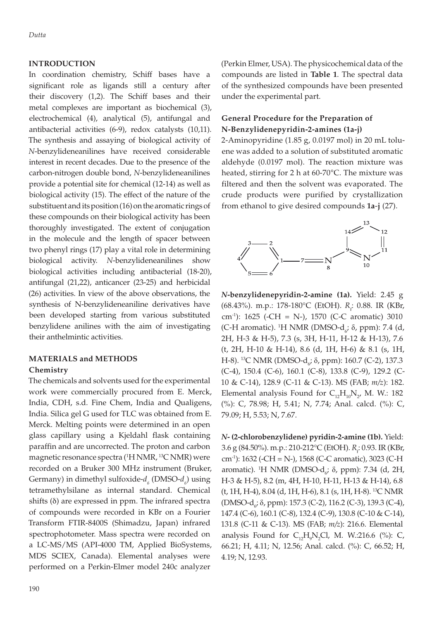## **INTRODUCTION**

In coordination chemistry, Schiff bases have a significant role as ligands still a century after their discovery (1,2). The Schiff bases and their metal complexes are important as biochemical (3), electrochemical (4), analytical (5), antifungal and antibacterial activities (6-9), redox catalysts (10,11). The synthesis and assaying of biological activity of *N*-benzylideneanilines have received considerable interest in recent decades. Due to the presence of the carbon-nitrogen double bond, *N*-benzylideneanilines provide a potential site for chemical (12-14) as well as biological activity (15). The effect of the nature of the substituent and its position (16) on the aromatic rings of these compounds on their biological activity has been thoroughly investigated. The extent of conjugation in the molecule and the length of spacer between two phenyl rings (17) play a vital role in determining biological activity. *N*-benzylideneanilines show biological activities including antibacterial (18-20), antifungal (21,22), anticancer (23-25) and herbicidal (26) activities. In view of the above observations, the synthesis of N-benzylideneaniline derivatives have been developed starting from various substituted benzylidene anilines with the aim of investigating their anthelmintic activities.

# **MATERIALS and METHODS Chemistry**

The chemicals and solvents used for the experimental work were commercially procured from E. Merck, India, CDH, s.d. Fine Chem, India and Qualigens, India. Silica gel G used for TLC was obtained from E. Merck. Melting points were determined in an open glass capillary using a Kjeldahl flask containing paraffin and are uncorrected. The proton and carbon magnetic resonance spectra (1 H NMR, 13C NMR) were recorded on a Bruker 300 MHz instrument (Bruker, Germany) in dimethyl sulfoxide- $d_{\delta}$  (DMSO- $d_{\delta}$ ) using tetramethylsilane as internal standard. Chemical shifts  $(\delta)$  are expressed in ppm. The infrared spectra of compounds were recorded in KBr on a Fourier Transform FTIR-8400S (Shimadzu, Japan) infrared spectrophotometer. Mass spectra were recorded on a LC-MS/MS (API-4000 TM, Applied BioSystems, MDS SCIEX, Canada). Elemental analyses were performed on a Perkin-Elmer model 240c analyzer

(Perkin Elmer, USA). The physicochemical data of the compounds are listed in **Table 1**. The spectral data of the synthesized compounds have been presented under the experimental part.

# **General Procedure for the Preparation of N-Benzylidenepyridin-2-amines (1a-j)**

2-Aminopyridine (1.85 g, 0.0197 mol) in 20 mL toluene was added to a solution of substituted aromatic aldehyde (0.0197 mol). The reaction mixture was heated, stirring for 2 h at 60-70°C. The mixture was filtered and then the solvent was evaporated. The crude products were purified by crystallization from ethanol to give desired compounds **1a**-**j** (27).



*N***-benzylidenepyridin-2-amine (1a).** Yield: 2.45 g (68.43%). m.p.: 178-180°C (EtOH). *R<sub>f</sub>*: 0.88. IR (KBr*,* cm-1): 1625 (-CH = N-), 1570 (C-C aromatic) 3010 (C-H aromatic). <sup>1</sup>H NMR (DMSO- $d_{\vec{\theta}}$ ;  $\delta$ , ppm): 7.4 (d, 2H, H-3 & H-5), 7.3 (s, 3H, H-11, H-12 & H-13), 7.6 (t, 2H, H-10 & H-14), 8.6 (d, 1H, H-6) & 8.1 (s, 1H, H-8). <sup>13</sup>C NMR (DMSO-d<sub>6</sub>; δ, ppm): 160.7 (C-2), 137.3 (C-4), 150.4 (C-6), 160.1 (C-8), 133.8 (C-9), 129.2 (C-10 & C-14), 128.9 (C-11 & C-13). MS (FAB; *m/z*): 182. Elemental analysis Found for  $C_{12}H_{10}N_{2}$ , M. W.: 182 (%): C, 78.98; H, 5.41; N, 7.74; Anal. calcd. (%): C, 79.09; H, 5.53; N, 7.67.

*N***- (2-chlorobenzylidene) pyridin-2-amine (1b).** Yield: 3.6 g (84.50%). m.p.: 210-212°C (EtOH). *R<sub>f</sub>*: 0.93. IR (KBr, cm-1): 1632 (-CH = N-), 1568 (C-C aromatic), 3023 (C-H aromatic). <sup>1</sup>H NMR (DMSO- $d_{\vec{\theta}}$ ;  $\delta$ , ppm): 7.34 (d, 2H, H-3 & H-5), 8.2 (m, 4H, H-10, H-11, H-13 & H-14), 6.8 (t, 1H, H-4), 8.04 (d, 1H, H-6), 8.1 (s, 1H, H-8). 13C NMR (DMSO-d<sub>6</sub>; δ, ppm): 157.3 (C-2), 116.2 (C-3), 139.3 (C-4), 147.4 (C-6), 160.1 (C-8), 132.4 (C-9), 130.8 (C-10 & C-14), 131.8 (C-11 & C-13). MS (FAB; *m/z*): 216.6. Elemental analysis Found for  $C_{12}H_9N_2Cl$ , M. W.:216.6 (%): C, 66.21; H, 4.11; N, 12.56; Anal. calcd. (%): C, 66.52; H, 4.19; N, 12.93.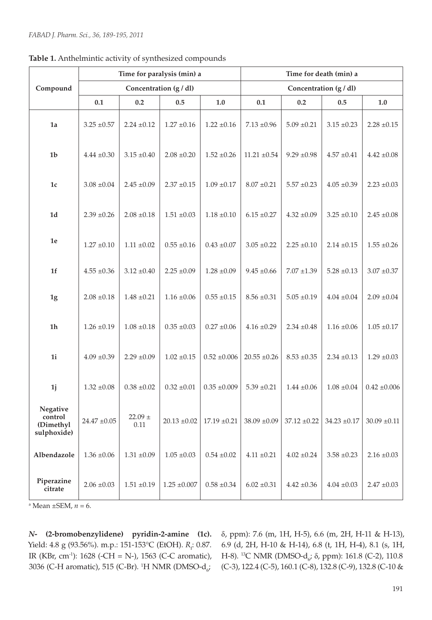| Compound                                        | Time for paralysis (min) a |                       |                  |                    | Time for death (min) a |                  |                      |                    |
|-------------------------------------------------|----------------------------|-----------------------|------------------|--------------------|------------------------|------------------|----------------------|--------------------|
|                                                 | Concentration (g / dl)     |                       |                  |                    | Concentration (g / dl) |                  |                      |                    |
|                                                 | 0.1                        | 0.2                   | 0.5              | $1.0$              | 0.1                    | $0.2\,$          | 0.5                  | $1.0\,$            |
| 1a                                              | $3.25 \pm 0.57$            | $2.24 \pm 0.12$       | $1.27 \pm 0.16$  | $1.22 \pm 0.16$    | $7.13 \pm 0.96$        | $5.09 \pm 0.21$  | $3.15 \pm 0.23$      | $2.28 \pm 0.15$    |
| 1 <sub>b</sub>                                  | $4.44 \pm 0.30$            | $3.15 \pm 0.40$       | $2.08 \pm 0.20$  | $1.52 \pm 0.26$    | $11.21 \pm 0.54$       | $9.29 \pm 0.98$  | $4.57 \pm 0.41$      | $4.42 \pm 0.08$    |
| $1\mathrm{c}$                                   | $3.08\pm\!0.04$            | $2.45 \pm 0.09$       | $2.37 \pm 0.15$  | $1.09 \pm 0.17$    | $8.07 \pm 0.21$        | $5.57 \pm 0.23$  | $4.05 \pm 0.39$      | $2.23\; {\pm}0.03$ |
| $1d$                                            | $2.39 \pm 0.26$            | $2.08 \pm 0.18$       | $1.51 \pm 0.03$  | $1.18 \pm 0.10$    | $6.15 \pm 0.27$        | $4.32 \pm 0.09$  | $3.25 \pm 0.10$      | $2.45 \pm 0.08$    |
| $1\mathrm{e}$                                   | $1.27 \pm 0.10$            | $1.11\pm\!0.02$       | $0.55 \pm 0.16$  | $0.43 \pm 0.07$    | $3.05 \pm 0.22$        | $2.25 \pm 0.10$  | $2.14 \pm 0.15$      | $1.55 \pm 0.26$    |
| $1f$                                            | $4.55 \pm 0.36$            | $3.12 \pm 0.40$       | $2.25 \pm 0.09$  | $1.28 \pm 0.09$    | $9.45 \pm 0.66$        | $7.07 \pm 1.39$  | $5.28 \pm 0.13$      | $3.07 \pm 0.37$    |
| 1g                                              | $2.08\pm0.18$              | $1.48 \pm 0.21$       | $1.16 \pm 0.06$  | $0.55\; {\pm}0.15$ | $8.56 \pm 0.31$        | $5.05 \pm 0.19$  | $4.04 \; {\pm} 0.04$ | $2.09 \pm 0.04$    |
| $1h$                                            | $1.26 \pm 0.19$            | $1.08 \pm 0.18$       | $0.35 \pm 0.03$  | $0.27 \pm 0.06$    | $4.16 \pm 0.29$        | $2.34 \pm 0.48$  | $1.16 \pm 0.06$      | $1.05\; {\pm}0.17$ |
| 1i                                              | $4.09 \pm 0.39$            | $2.29 \pm 0.09$       | $1.02 \pm 0.15$  | $0.52 \pm 0.006$   | $20.55 \pm 0.26$       | $8.53 \pm 0.35$  | $2.34 \pm 0.13$      | $1.29 \pm 0.03$    |
| 1 <sub>j</sub>                                  | $1.32 \pm 0.08$            | $0.38 \pm 0.02$       | $0.32 \pm 0.01$  | $0.35 \pm 0.009$   | $5.39 \pm 0.21$        | $1.44 \pm 0.06$  | $1.08 \pm 0.04$      | $0.42 \pm 0.006$   |
| Negative<br>control<br>(Dimethyl<br>sulphoxide) | $24.47 \pm 0.05$           | $22.09$ $\pm$<br>0.11 | $20.13 \pm 0.02$ | $17.19 \pm 0.21$   | $38.09 \pm 0.09$       | $37.12 \pm 0.22$ | $34.23 \pm 0.17$     | $30.09 \pm 0.11$   |
| Albendazole                                     | $1.36 \pm 0.06$            | $1.31 \pm 0.09$       | $1.05\pm0.03$    | $0.54 \pm 0.02$    | $4.11 \pm 0.21$        | $4.02 \pm 0.24$  | $3.58 \pm 0.23$      | $2.16 \pm 0.03$    |
| Piperazine<br>citrate                           | $2.06 \pm 0.03$            | $1.51 \pm 0.19$       | $1.25 \pm 0.007$ | $0.58\; {\pm}0.34$ | $6.02 \pm 0.31$        | $4.42 \pm 0.36$  | $4.04 \pm 0.03$      | $2.47 \pm 0.03$    |

a Mean ±SEM, *n* = 6.

*N***- (2-bromobenzylidene) pyridin-2-amine (1c).**  Yield: 4.8 g (93.56%). m.p.: 151-153°C (EtOH). *R*<sub>f</sub>: 0.87. IR (KBr, cm-1): 1628 (-CH = N-), 1563 (C-C aromatic), 3036 (C-H aromatic), 515 (C-Br). <sup>1</sup>H NMR (DMSO-d<sub>6</sub>;

δ, ppm): 7.6 (m, 1H, H-5), 6.6 (m, 2H, H-11 & H-13), 6.9 (d, 2H, H-10 & H-14), 6.8 (t, 1H, H-4), 8.1 (s, 1H, H-8). <sup>13</sup>C NMR (DMSO-d<sub>6</sub>; δ, ppm): 161.8 (C-2), 110.8 (C-3), 122.4 (C-5), 160.1 (C-8), 132.8 (C-9), 132.8 (C-10 &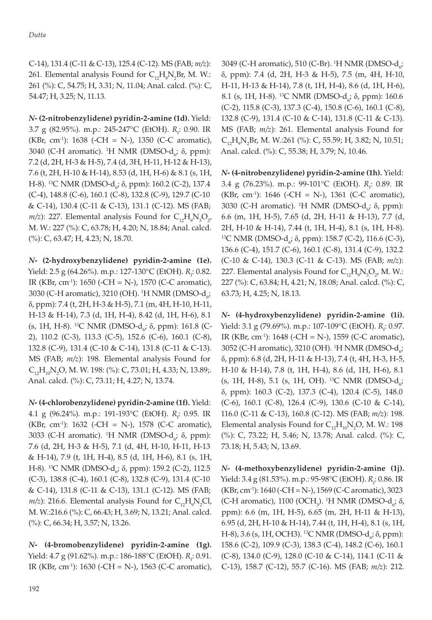C-14), 131.4 (C-11 & C-13), 125.4 (C-12). MS (FAB; *m/z*): 261. Elemental analysis Found for  $C_{12}H_{9}N_{2}Br$ , M. W.: 261 (%): C, 54.75; H, 3.31; N, 11.04; Anal. calcd. (%): C, 54.47; H, 3.25; N, 11.13.

*N***- (2-nitrobenzylidene) pyridin-2-amine (1d).** Yield: 3.7 g (82.95%). m.p.: 245-247°C (EtOH). *R<sub>i</sub>*: 0.90. IR (KBr, cm-1): 1638 (-CH = N-), 1350 (C-C aromatic), 3040 (C-H aromatic). <sup>1</sup>H NMR (DMSO-d<sub>6</sub>; δ, ppm): 7.2 (d, 2H, H-3 & H-5), 7.4 (d, 3H, H-11, H-12 & H-13), 7.6 (t, 2H, H-10 & H-14), 8.53 (d, 1H, H-6) & 8.1 (s, 1H, H-8). <sup>13</sup>C NMR (DMSO-d<sub>6</sub>; δ, ppm): 160.2 (C-2), 137.4 (C-4), 148.8 (C-6), 160.1 (C-8), 132.8 (C-9), 129.7 (C-10 & C-14), 130.4 (C-11 & C-13), 131.1 (C-12). MS (FAB;  $m/z$ ): 227. Elemental analysis Found for  $C_{12}H_{9}N_{3}O_{2}$ , M. W.: 227 (%): C, 63.78; H, 4.20; N, 18.84; Anal. calcd. (%): C, 63.47; H, 4.23; N, 18.70.

*N***- (2-hydroxybenzylidene) pyridin-2-amine (1e).**  Yield: 2.5 g (64.26%). m.p.: 127-130°C (EtOH). *R*<sub>f</sub>: 0.82. IR (KBr, cm-1): 1650 (-CH = N-), 1570 (C-C aromatic), 3030 (C-H aromatic), 3210 (OH). <sup>1</sup>H NMR (DMSO-d<sub>6</sub>; δ, ppm): 7.4 (t, 2H, H-3 & H-5), 7.1 (m, 4H, H-10, H-11, H-13 & H-14), 7.3 (d, 1H, H-4), 8.42 (d, 1H, H-6), 8.1 (s, 1H, H-8). <sup>13</sup>C NMR (DMSO-d<sub>6</sub>; δ, ppm): 161.8 (C-2), 110.2 (C-3), 113.3 (C-5), 152.6 (C-6), 160.1 (C-8), 132.8 (C-9), 131.4 (C-10 & C-14), 131.8 (C-11 & C-13). MS (FAB; *m/z*): 198. Elemental analysis Found for  $C_{12}H_{10}N_2O$ , M. W. 198: (%): C, 73.01; H, 4.33; N, 13.89;. Anal. calcd. (%): C, 73.11; H, 4.27; N, 13.74.

*N***- (4-chlorobenzylidene) pyridin-2-amine (1f).** Yield: 4.1 g (96.24%). m.p.: 191-193°C (EtOH). *R<sub>i</sub>*: 0.95. IR (KBr, cm-1): 1632 (-CH = N-), 1578 (C-C aromatic), 3033 (C-H aromatic). <sup>1</sup>H NMR (DMSO-d<sub>6</sub>; δ, ppm): 7.6 (d, 2H, H-3 & H-5), 7.1 (d, 4H, H-10, H-11, H-13 & H-14), 7.9 (t, 1H, H-4), 8.5 (d, 1H, H-6), 8.1 (s, 1H, H-8). <sup>13</sup>C NMR (DMSO-d<sub>6</sub>; δ, ppm): 159.2 (C-2), 112.5 (C-3), 138.8 (C-4), 160.1 (C-8), 132.8 (C-9), 131.4 (C-10 & C-14), 131.8 (C-11 & C-13), 131.1 (C-12). MS (FAB;  $m/z$ ): 216.6. Elemental analysis Found for  $C_{12}H_{9}N_{2}Cl$ , M. W.:216.6 (%): C, 66.43; H, 3.69; N, 13.21; Anal. calcd. (%): C, 66.34; H, 3.57; N, 13.26.

*N***- (4-bromobenzylidene) pyridin-2-amine (1g).**  Yield: 4.7 g (91.62%). m.p.: 186-188°C (EtOH). *R*<sub>f</sub>: 0.91. IR (KBr, cm-1): 1630 (-CH = N-), 1563 (C-C aromatic),

3049 (C-H aromatic), 510 (C-Br). <sup>1</sup>H NMR (DMSO-d<sub> $6^{\prime}$ </sub> δ, ppm): 7.4 (d, 2H, H-3 & H-5), 7.5 (m, 4H, H-10, H-11, H-13 & H-14), 7.8 (t, 1H, H-4), 8.6 (d, 1H, H-6), 8.1 (s, 1H, H-8). <sup>13</sup>C NMR (DMSO-d<sub>6</sub>; δ, ppm): 160.6 (C-2), 115.8 (C-3), 137.3 (C-4), 150.8 (C-6), 160.1 (C-8), 132.8 (C-9), 131.4 (C-10 & C-14), 131.8 (C-11 & C-13). MS (FAB; *m/z*): 261. Elemental analysis Found for  $C_{12}H_9N_2Br$ , M. W.:261 (%): C, 55.59; H, 3.82; N, 10.51; Anal. calcd. (%): C, 55.38; H, 3.79; N, 10.46.

*N***- (4-nitrobenzylidene) pyridin-2-amine (1h).** Yield: 3.4 g (76.23%). m.p.: 99-101°C (EtOH). *R<sub>f</sub>*: 0.89. IR (KBr, cm-1): 1646 (-CH = N-), 1361 (C-C aromatic), 3030 (C-H aromatic). <sup>1</sup>H NMR (DMSO-d<sub>6</sub>; δ, ppm): 6.6 (m, 1H, H-5), 7.65 (d, 2H, H-11 & H-13), 7.7 (d, 2H, H-10 & H-14), 7.44 (t, 1H, H-4), 8.1 (s, 1H, H-8). <sup>13</sup>C NMR (DMSO-d<sub>6</sub>; δ, ppm): 158.7 (C-2), 116.6 (C-3), 136.6 (C-4), 151.7 (C-6), 160.1 (C-8), 131.4 (C-9), 132.2 (C-10 & C-14), 130.3 (C-11 & C-13). MS (FAB; *m/z*): 227. Elemental analysis Found for  $C_{12}H_{9}N_{3}O_{2}$ , M. W.: 227 (%): C, 63.84; H, 4.21; N, 18.08; Anal. calcd. (%): C, 63.73; H, 4.25; N, 18.13.

*N***- (4-hydroxybenzylidene) pyridin-2-amine (1i).**  Yield: 3.1 g (79.69%). m.p.: 107-109°C (EtOH). *R*<sub>f</sub>: 0.97. IR (KBr, cm-1): 1648 (-CH = N-), 1559 (C-C aromatic), 3052 (C-H aromatic), 3210 (OH). <sup>1</sup>H NMR (DMSO-d<sub>6</sub>; δ, ppm): 6.8 (d, 2H, H-11 & H-13), 7.4 (t, 4H, H-3, H-5, H-10 & H-14), 7.8 (t, 1H, H-4), 8.6 (d, 1H, H-6), 8.1 (s, 1H, H-8), 5.1 (s, 1H, OH). <sup>13</sup>C NMR (DMSO- $d_{6}$ ; δ, ppm): 160.3 (C-2), 137.3 (C-4), 120.4 (C-5), 148.0 (C-6), 160.1 (C-8), 126.4 (C-9), 130.6 (C-10 & C-14), 116.0 (C-11 & C-13), 160.8 (C-12). MS (FAB; *m/z*): 198. Elemental analysis Found for  $C_{12}H_{10}N_2O$ , M. W.: 198 (%): C, 73.22; H, 5.46; N, 13.78; Anal. calcd. (%): C, 73.18; H, 5.43; N, 13.69.

*N***- (4-methoxybenzylidene) pyridin-2-amine (1j).**  Yield: 3.4 g (81.53%). m.p.: 95-98°C (EtOH). *R<sub>i</sub>*: 0.86. IR  $(KBr, cm^{-1})$ : 1640 (-CH = N-), 1569 (C-C aromatic), 3023 (C-H aromatic), 1100 (OCH<sub>3</sub>). <sup>1</sup>H NMR (DMSO-d<sub>6</sub>; δ, ppm): 6.6 (m, 1H, H-5), 6.65 (m, 2H, H-11 & H-13), 6.95 (d, 2H, H-10 & H-14), 7.44 (t, 1H, H-4), 8.1 (s, 1H, H-8), 3.6 (s, 1H, OCH3). <sup>13</sup>C NMR (DMSO-d<sub>6</sub>; δ, ppm): 158.6 (C-2), 109.9 (C-3), 138.3 (C-4), 148.2 (C-6), 160.1 (C-8), 134.0 (C-9), 128.0 (C-10 & C-14), 114.1 (C-11 & C-13), 158.7 (C-12), 55.7 (C-16). MS (FAB; *m/z*): 212.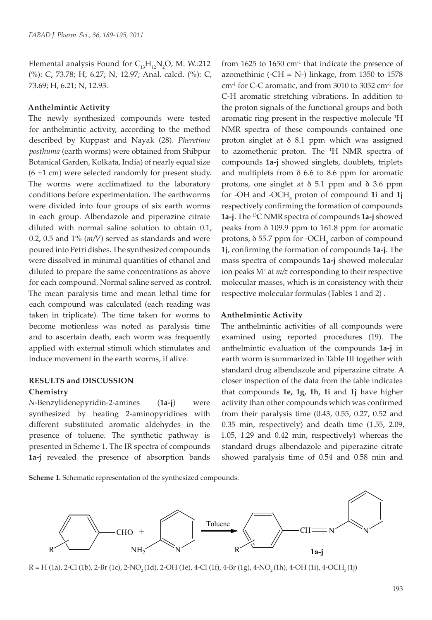Elemental analysis Found for  $C_{13}H_{12}N_2O$ , M. W.:212 (%): C, 73.78; H, 6.27; N, 12.97; Anal. calcd. (%): C, 73.69; H, 6.21; N, 12.93.

#### **Anthelmintic Activity**

The newly synthesized compounds were tested for anthelmintic activity, according to the method described by Kuppast and Nayak (28). *Pheretima posthuma* (earth worms) were obtained from Shibpur Botanical Garden, Kolkata, India) of nearly equal size  $(6 \pm 1 \text{ cm})$  were selected randomly for present study. The worms were acclimatized to the laboratory conditions before experimentation. The earthworms were divided into four groups of six earth worms in each group. Albendazole and piperazine citrate diluted with normal saline solution to obtain 0.1, 0.2, 0.5 and 1% (*m/V*) served as standards and were poured into Petri dishes. The synthesized compounds were dissolved in minimal quantities of ethanol and diluted to prepare the same concentrations as above for each compound. Normal saline served as control. The mean paralysis time and mean lethal time for each compound was calculated (each reading was taken in triplicate). The time taken for worms to become motionless was noted as paralysis time and to ascertain death, each worm was frequently applied with external stimuli which stimulates and induce movement in the earth worms, if alive.

## **RESULTS and DISCUSSION**

#### **Chemistry**

*N*-Benzylidenepyridin-2-amines (**1a-j**) were synthesized by heating 2-aminopyridines with different substituted aromatic aldehydes in the presence of toluene. The synthetic pathway is presented in Scheme 1. The IR spectra of compounds **1a-j** revealed the presence of absorption bands

from  $1625$  to  $1650$  cm<sup>-1</sup> that indicate the presence of azomethinic (-CH = N-) linkage, from  $1350$  to  $1578$ cm-1 for C-C aromatic, and from 3010 to 3052 cm-1 for C-H aromatic stretching vibrations. In addition to the proton signals of the functional groups and both aromatic ring present in the respective molecule <sup>1</sup>H NMR spectra of these compounds contained one proton singlet at δ 8.1 ppm which was assigned to azomethenic proton. The 1 H NMR spectra of compounds **1a-j** showed singlets, doublets, triplets and multiplets from δ 6.6 to 8.6 ppm for aromatic protons, one singlet at δ 5.1 ppm and δ 3.6 ppm for -OH and -OCH3 proton of compound **1i** and **1j** respectively confirming the formation of compounds **1a-j**. The 13C NMR spectra of compounds **1a-j** showed peaks from δ 109.9 ppm to 161.8 ppm for aromatic protons,  $\delta$  55.7 ppm for -OCH<sub>3</sub> carbon of compound **1j**, confirming the formation of compounds **1a-j**. The mass spectra of compounds **1a-j** showed molecular ion peaks M+ at *m/z* corresponding to their respective molecular masses, which is in consistency with their respective molecular formulas (Tables 1 and 2) .

## **Anthelmintic Activity**

The anthelmintic activities of all compounds were examined using reported procedures (19). The anthelmintic evaluation of the compounds **1a-j** in earth worm is summarized in Table III together with standard drug albendazole and piperazine citrate. A closer inspection of the data from the table indicates that compounds **1e, 1g, 1h, 1i** and **1j** have higher activity than other compounds which was confirmed from their paralysis time (0.43, 0.55, 0.27, 0.52 and 0.35 min, respectively) and death time (1.55, 2.09, 1.05, 1.29 and 0.42 min, respectively) whereas the standard drugs albendazole and piperazine citrate showed paralysis time of 0.54 and 0.58 min and

**Scheme 1.** Schematic representation of the synthesized compounds.



 $R = H (1a)$ , 2-Cl (1b), 2-Br (1c), 2-NO<sub>2</sub> (1d), 2-OH (1e), 4-Cl (1f), 4-Br (1g), 4-NO<sub>2</sub> (1h), 4-OH (1i), 4-OCH<sub>3</sub> (1j)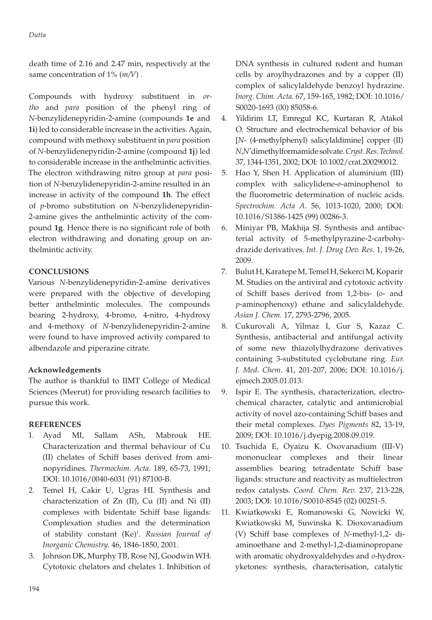death time of 2.16 and 2.47 min, respectively at the same concentration of 1% (*m/V*) .

Compounds with hydroxy substituent in *ortho* and *para* position of the phenyl ring of *N*-benzylidenepyridin-2-amine (compounds **1e** and **1i**) led to considerable increase in the activities. Again, compound with methoxy substituent in *para* position of *N*-benzylidenepyridin-2-amine (compound **1j**) led to considerable increase in the anthelmintic activities. The electron withdrawing nitro group at *para* position of *N*-benzylidenepyridin-2-amine resulted in an increase in activity of the compound **1h**. The effect of *p*-bromo substitution on *N*-benzylidenepyridin-2-amine gives the anthelmintic activity of the compound **1g**. Hence there is no significant role of both electron withdrawing and donating group on anthelmintic activity.

# **CONCLUSIONS**

Various *N*-benzylidenepyridin-2-amine derivatives were prepared with the objective of developing better anthelmintic molecules. The compounds bearing 2-hydroxy, 4-bromo, 4-nitro, 4-hydroxy and 4-methoxy of *N*-benzylidenepyridin-2-amine were found to have improved activity compared to albendazole and piperazine citrate.

# **Acknowledgements**

The author is thankful to IIMT College of Medical Sciences (Meerut) for providing research facilities to pursue this work.

## **REFERENCES**

- 1. Ayad MI, Sallam ASh, Mabrouk HE. Characterization and thermal behaviour of Cu (II) chelates of Schiff bases derived from aminopyridines. *Thermochim. Acta*. 189, 65-73, 1991; DOI: 10.1016/0040-6031 (91) 87100-B.
- 2. Temel H, Cakir U, Ugras HI. Synthesis and characterization of Zn (II), Cu (II) and Ni (II) complexes with bidentate Schiff base ligands: Complexation studies and the determination of stability constant (Ke)1 . *Russian Journal of Inorganic Chemistry.* 46, 1846-1850, 2001.
- 3. Johnson DK, Murphy TB, Rose NJ, Goodwin WH. Cytotoxic chelators and chelates 1. Inhibition of

DNA synthesis in cultured rodent and human cells by aroylhydrazones and by a copper (II) complex of salicylaldehyde benzoyl hydrazine. *Inorg. Chim. Acta.* 67, 159-165, 1982; DOI: 10.1016/ S0020-1693 (00) 85058-6.

- 4. Yildirim LT, Emregul KC, Kurtaran R, Atakol O. Structure and electrochemical behavior of bis [*N*- (4-methylphenyl) salicylaldimine] copper (II) *N*,*N'*dimethylformamide solvate. *Cryst. Res. Technol.* 37, 1344-1351, 2002; DOI: 10.1002/crat.200290012.
- 5. Hao Y, Shen H. Application of aluminium (III) complex with salicylidene-*o*-aminophenol to the fluorometric determination of nucleic acids. *Spectrochim. Acta A*. 56, 1013-1020, 2000; DOI: 10.1016/S1386-1425 (99) 00286-3.
- 6. Miniyar PB, Makhija SJ. Synthesis and antibacterial activity of 5-methylpyrazine-2-carbohydrazide derivatives. *Int. J. Drug Dev. Res.* 1, 19-26, 2009.
- 7. Bulut H, Karatepe M, Temel H, Sekerci M, Koparir M. Studies on the antiviral and cytotoxic activity of Schiff bases derived from 1,2-bis- (*o*- and *p*-aminophenoxy) ethane and salicylaldehyde. *Asian J. Chem.* 17, 2793-2796, 2005.
- 8. Cukurovali A, Yilmaz I, Gur S, Kazaz C. Synthesis, antibacterial and antifungal activity of some new thiazolylhydrazone derivatives containing 3-substituted cyclobutane ring. *Eur. J. Med. Chem.* 41, 201-207, 2006; DOI: 10.1016/j. ejmech.2005.01.013.
- 9. Ispir E. The synthesis, characterization, electrochemical character, catalytic and antimicrobial activity of novel azo-containing Schiff bases and their metal complexes. *Dyes Pigments* 82, 13-19, 2009; DOI: 10.1016/j.dyepig.2008.09.019.
- 10. Tsuchida E, Oyaizu K. Oxovanadium (III-V) mononuclear complexes and their linear assemblies bearing tetradentate Schiff base ligands: structure and reactivity as multielectron redox catalysts. *Coord. Chem. Rev.* 237, 213-228, 2003; DOI: 10.1016/S0010-8545 (02) 00251-5.
- 11. Kwiatkowski E, Romanowski G, Nowicki W, Kwiatkowski M, Suwinska K. Dioxovanadium (V) Schiff base complexes of *N*-methyl-1,2- diaminoethane and 2-methyl-1,2-diaminopropane with aromatic ohydroxyaldehydes and *o*-hydroxyketones: synthesis, characterisation, catalytic